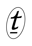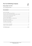# The Text Publishing Company

## **Bologna Rights Guide 2022**

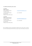## **For additional information, please contact:**

| Lara Shprem                          |                                   |
|--------------------------------------|-----------------------------------|
| <b>Rights Coordinator</b>            |                                   |
| The Text Publishing Company          | lara.shprem@textpublishing.com.au |
| Wurundjeri Country                   |                                   |
| Level 6, Royal Bank Chambers         | tel: $+61386104511$               |
| 287 Collins Street                   |                                   |
| Melbourne Victoria 3000 Australia    |                                   |
|                                      |                                   |
| <b>Anne Beilby</b>                   |                                   |
| <b>Rights and Contracts Director</b> |                                   |
| The Text Publishing Company          | anne.beilby@textpublishing.com.au |
| Wurundjeri Country                   |                                   |
| Level 6, Royal Bank Chambers         | tel: $+61386104535$               |
| 287 Collins Street                   |                                   |
| Melbourne Victoria 3000 Australia    |                                   |
|                                      |                                   |

The Text Publishing Company acknowledges the Traditional Owners of the country on which we work, the Wurundjeri people of the Kulin Nation, and pays respect to their Elders past and present.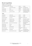# **Recent Acquisitions**

## **Children and Young Adult**

| Gale, Emily & Weetman, Nova | Outlaw Girls              | World                    | <b>Authors</b>                                 |
|-----------------------------|---------------------------|--------------------------|------------------------------------------------|
| He, Joan                    | Strike the Zither duology | UK & Comm (ex<br>Canada) | The Rights People                              |
| Laguna, Ingrid              | Kasia                     | World                    | Curtis Brown Australia                         |
| Laguna, Ingrid              | Come On, Otto             | World                    | Curtis Brown Australia                         |
| Levithan, David             | Answers in the Pages      | ANZ                      | United Agents on behalf<br>of the Clegg Agency |

## **Adult**

| Angel, Libby         | Where I Slept                       | World                    | Author                                            |
|----------------------|-------------------------------------|--------------------------|---------------------------------------------------|
| Calaby, Tara         | Untitled historical novel           | World                    | Author                                            |
| Darrieussecq, Marie  | Pas Dormir                          | UK & Comm (ex<br>Canada) | Editions P.O.L.                                   |
| Halloran, Jacinta    | Resistance Is Futile                | World                    | Curtis Brown Australia                            |
| Ísberg, Fríða        | Merking / The Mark                  | <b>ANZ</b>               | <b>RCW Literary Agency</b>                        |
| Jones, Gail          | Salonika Burning                    | World                    | Jane Novak Literary Agency                        |
| Kwaymullina, Ambelin | Liar's Test and its untitled sequel | <b>ANZ</b>               | Jill Grinberg Literary<br>Management              |
| Malcolm, Janet       | Pictures                            | <b>ANZ</b>               | Farrar, Straus and Giroux                         |
| Morrissey, John      | Autoc                               | World                    | Author                                            |
| Morrissey, John      | Bird Deity Alpha                    | World                    | Author                                            |
| Salasc, Emmanuelle   | Hors Gel / Alarm                    | UK & Comm (ex<br>Canada) | Editions P.O.L.                                   |
| Schwartz, Selby Wynn | After Sappho                        | <b>ANZ</b>               | <b>Galley Beggar Press</b>                        |
| Wilson, Kevin        | Now Is Not the Time to Panic        | UK & Comm (ex<br>Canada) | Abner Stein in association<br>with The Book Group |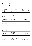# **Recent Publications**

## **Children and Young Adult**

| Arnold, David           | The Electric Kingdom                               | <b>Writers House USA</b>          |
|-------------------------|----------------------------------------------------|-----------------------------------|
|                         |                                                    |                                   |
| Dabos, Christelle       | The Storm of Echoes: The Mirror Visitor, Book Four | Gallimard Juenesse                |
|                         |                                                    |                                   |
| Kelly, Erin Entrada     | Those Kids from Fawn Creek                         | The Rights People                 |
|                         |                                                    |                                   |
| King, A.S.              | Switch                                             | Penguin Random House USA          |
|                         |                                                    |                                   |
| Meyer, Marissa          | Gilded                                             | Jill Grinberg Literary Management |
|                         |                                                    |                                   |
| Meyer, Marissa (editor) | Serendipity: Ten Romantic Tropes, Transformed      | Jill Grinberg Literary Management |
|                         |                                                    |                                   |
| Obama, Barack           | Dreams From My Father: Adapted for Young Adults    | Abner Stein                       |
|                         |                                                    |                                   |
| Saeed, Aisha            | Omar Rising                                        | Penguin Random House USA          |
|                         |                                                    |                                   |
| Smith, Mark             | If Not Us                                          | Author                            |
|                         |                                                    |                                   |

## **Adult**

| Collette, Katherine           | The Competition                                                            | Jacinta di Mase Management                    |
|-------------------------------|----------------------------------------------------------------------------|-----------------------------------------------|
| Disher, Garry                 | The Way It Is Now                                                          | Jenny Darling & Associates                    |
| Down, Jennifer                | <b>Bodies of Light</b>                                                     | Author                                        |
| Durastanti, Claudia           | La Straniera / Strangers I Know                                            | Casanovas & Lynch Literary<br>Agency          |
| Fenster, Gigi                 | A Good Winter                                                              | <b>High Spot Literary</b>                     |
| Garner, Helen                 | How to End a Story: Diaries Volume 3                                       | Jane Novak Literary Agency                    |
| Holbe, Julia                  | Unsere glücklichen Tage / Our Happy Days                                   | Penguin Random House Germany                  |
| Jones, Kimberly               | How We Can Win: Race, History and<br>Changing the Money Game That's Rigged | Farrar, Straus and Giroux                     |
| Macrae Burnet, Graeme         | Case Study                                                                 | <b>Blake Friedmann Literary Agency</b><br>Ltd |
| McGirr, Michael               | Ideas to Save Your Life: Philosophy for Wisdom,<br>Solace and Pleasure     | Curtis Brown Australia                        |
| Melchor, Fernanda             | Páradais / Paradais                                                        | Literarische Agentur Michael Gaeb             |
| Sherborne, Craig              | The Grass Hotel                                                            | Jane Novak Literary Agency                    |
| Simsion, Graeme               | The Novel Project                                                          | Author                                        |
| Simsion, Graeme & Buist, Anne | Two Steps Onward                                                           | Authors                                       |
| Tokarczuk, Olga               | Księgi Jakubowe / The Books of Jacob                                       | <b>RCW Literary Agency</b>                    |
| Wang, Weike                   | Joan Is Okay                                                               | David Higham Associates                       |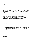## *Sugar* **by Carly Nugent**

*Some people get exactly what they deserve. And, as it turns out, I deserve to be called Persephone. No simple-to-sound-out Pride-and-Prejudice-style name like Elizabeth or Jane for me. Nope. Demi had to go Greek. Define Persephone. Bringer of destruction. That pretty much sums it up.*

Persephone is angry. Angry that her life revolves around finger-prick tests, carbohydrate counts and insulin injections. Angry at Alexander Manson. Angry with her mum for lots of things, for nothing and for everything.

But most of all, she's angry with herself. For deserving it all. Because one year ago she did something and her dad died.

But then Persephone finds a body on a bush path, a young woman she doesn't know but feels a strong connection to. And as she tries to find out what happened to Sylvia, Persephone begins to understand her own place in the complex interconnectedness of the universe.

*Sugar* is the story of a sixteen-year-old girl trying to make sense of the life-changing events that have sent her world into a spin, her search for a reason behind it all, and ultimately her acceptance of life's randomness.

Praise for *Sugar*:

'*Sugar* is dark, hopeful, mesmerising—an extraordinary novel that builds and breaks like a perfect storm.' Vikki Wakefield, author of *Friday Brown* and *This is How We Change the Ending*

'A deeply affecting novel about loss, guilt and the fraught search for truth and certainty; the passion and ferocity of this story will stay with me for a long time.' Leanne Hall, author of *The Gaps*

**Carly Nugent** lives in Bright in Victoria. Her short fiction has featured in numerous publications, including the *Bellevue Literary Review* and *Award Winning Australian Writing*. Her first novel, *The Peacock Detectives*, won the Readings Children's Book Prize, was a CBCA Honour Book, and was shortlisted for the Text Prize, the Australian Book Design Awards and the Sisters in Crime Davitt Awards. *Sugar*, inspired by her own experience of having diabetes, is her first book for young adults.

**Rights Held:** World

Young Adult Fiction | April 2022 | Finished pages available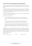# *All the Little Tricky Things* **by Karys McEwen**

It's the start of the summer holidays and twelve-year-old Bertie is worried. Next year she's going to a high school in the city, while all her friends stay behind in Merri, the small town she's lived in all her life.

To help her feel better prepared for high school, her best friend, Claire, makes a list of tasks Bertie has to complete over the summer. They start working through the list together, only to find that some of the cracks in their friendship are beginning to show. Soon, Bertie's not even sure she'll have one friend by the end of the summer.

*All the Little Tricky Things* is a charming, heartfelt novel about a time when everything is changing, and a girl who's trying to make sense of it all.

Praise for *All the Little Tricky Things*:

'A warm, relatable and reassuring read, this book is a must for anyone embarking on secondary school.' Jane Godwin, author of *When Rain Turns to Snow* and *Today We Have No Plans*

'A sweet and hopeful slice of country-town life in the final summer before high school.' Nova Weetman, author of *The Edge of Thirteen* and *Elsewhere Girls* (with Emily Gale)

'A big warm hug of a book, tender and true. McEwen writes perceptively about the emotions of growing up and maybe growing apart from everything and everyone you've always known. I loved it.' Danielle Binks, author of *The Year the Maps Changed* and *The Monster of Her Age*

**Karys McEwen** is the current president of the Victorian branch of the Children's Book Council of Australia. She is also a school librarian, and she is passionate about the role libraries and literature play in the wellbeing of young people. She has been a columnist for *Books+Publishing* and her work has appeared in library journals such as S*ynergy*, *Incite* and *Connections*. *All the Little Tricky Things* is her debut middle-grade novel.

**Rights Held:** World

Middle Grade Fiction  $\vert$  May 2022 Finished pages available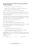## *The Sugarcane Kids and the Red-bottomed Boat* **by Charlie Archbold**

*Bernie mutters to me. 'No way. Who'd go into the mangroves at night?'*

*I swallow. Not me. Not into Sebastian land. No one would head into crocodile heartland in the middle of a dark night. No one, unless they had a very good reason.*

Andy and his best friend Eli live in a small coastal town in far north Queensland.

When Eli's cousin Jacob is arrested for a jewellery theft, Andy and Eli both know he is innocent.

The police have evidence. But something is not right, and Andy and Eli need to work out what, and fast, or Jacob will end up in jail.

So, with the help of twins Bernice and Fletcher (AKA Bernie and Fletch) and Andy's trusty sausage dog, Washington, they set out to hunt for clues to what really happened. The trail points to a mysterious red-bottomed boat rumoured to be hidden deep in the mangroves.

Does it hold the evidence they need to prove Jacob's innocence?

Can they find it without getting lost forever?

And how will they outwit Sebastian, the legendary gigantic saltwater crocodile?

Charlie Archbold's action-packed new middle-grade adventure is a fun story of sleuthing, courageous deeds, the triumph of good over evil—and the power of friendship.

Praise for Charlie Archbold:

'[An] author to follow with much pleasure.' Clare Rhoden, *Aurealis*

'Charlie Archbold has shown she possesses the talent to produce many more books to entertain her waiting audience.' Carl Delprat, *Compulsive Reader*

**Charlie Archbold** is an educator and writer. Her first novel, *Mallee Boys*, was a CBCA older readers honour book. *The Sugarcane Kids and the Red-bottomed Boat*, her first middle-grade novel, was shortlisted for the Text Prize.

**Rights Held:** World

Middle Grade Fiction | June 2022 | Finished pages available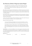## *The Museum of Broken Things* **by Lauren Draper**

*I didn't always live here. Not so long ago I was living in a thriving metropolis with more than one coffee shop on each block and four full bars of reception. I went to Heathmont High School, home to one thousand students, two best friends, a deeply average orchestra, and one cursed statue. Well, allegedly.*

Reece still isn't used to living in the small beachside town of Hamilton: she misses her old school, her old friends and her old life. She can't go back and she can't move: nothing feels right anymore. Not that she's trying very hard—she hasn't even unpacked yet, and the only new friend she's made is a middle-aged barista.

But when Reece inherits a strange artefact that belonged to her beloved grandmother, she begins to unravel a mystery that might change the way she feels about everything around her, including her charismatic classmate Gideon…

A lively, witty novel about letting go of the past and finding your place in the world, *The Museum of Broken Things* introduces a dazzling new voice in contemporary fiction.

Praise for *The Museum of Broken Things*:

'A clear-eyed, absorbing and atmospheric story of loss (and love) that pulls you in, then warmly holds you there.' Rhiannon Wilde, award-winning author of *Henry Hamlet's Heart*

'Lauren Draper's *The Museum of Broken Things* is a warm, heartfelt debut that masterfully explores the lingering pain of grief and the power of love, family and friendship.' Gabrielle Tozer, award-winning author of *Can't Say It Went To Plan*, *Remind Me How This Ends* and *The Intern*

**Lauren Draper** is a writer based in Melbourne. Her work has appeared in *Dumbo Feather* and *Kill Your Darlings*, and her commercial-fiction manuscript was longlisted in the 2019 Richell Prize. She has worked in the publishing industry for the past five years and is currently the marketing manager at Hardie Grant Egmont.

**Rights Held:** World

Young Adult Fiction  $\vert$  June 2022 | Manuscript available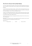# *The Not So Chosen One* **by Kate Emery**

Lucy is just a regular teenager with regular worries: homework, friends, getting home for dinner on time. Oh, and there's the small matter of how she's going to tell her mother about her unplanned pregnancy.

So when she first hears about Drake's College, a school for students with magical talent, she's sure someone's messing with her. But despite her scepticism, she's soon swept up into a world beyond her wildest imaginings—and now she's got something else to hide.

At Drake's, Lucy befriends the handsome Jack, a teacher's assistant who has secrets of his own. More concerningly, Lucy's 'talent' doesn't seem to be materialising, and one of the other students collapses in a mysterious incident. There's danger in the air…

Populated with charming characters, and laugh-out-loud funny at times, *The Not So Chosen One* is a clever, rollicking ride.

**Kate Emery** lives in Perth and works as a senior reporter for the *West Australian*. *The Not So Chosen One* is her first book and was shortlisted for the 2020 Text Prize.

**Rights Held:** World

Young Adult Fiction  $\vert$  July 2022 | Manuscript available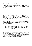# *The Brink* **by Holden Sheppard**

A group of school-leavers: free at last, ready to party, expectations high. And even though a remote island on the Western Australian coast wasn't exactly the plan, they're not going to let that hold them back.

Leonardo, geeky, asthmatic, shy and prone to anxiety, has landed with them. He's terrified—he's definitely not part of this cool gang. Super high-achiever Kaiya is trying to forget her frustration with her drug-addicted sister as well as dealing with pressure from the popular girls to lose her virginity. Mason, footy jock with the physique to match, is coming to terms with his secret desire for his best mate, Jared. And Jared wants a week off from his relationship with Val so he can have sex with as many girls as possible.

But the party takes a dangerous turn when Val is drugged and a man is found dead on the beach. Blame, fear, mistrust, coverups, power plays and dark secrets tear the group apart and expose the deadly tensions beneath the surface. And each teen is forced to confront demons that will lead them either to devastating tragedy or transformative triumph.

Whoever survives the week will never be the same again.

*The Brink* is a raw, powerful novel that pulls no punches in its authentic exploration of masculinity, sexuality, mental health, drug and alcohol use, relationships and sex. Holden Sheppard takes the teenage experience to the next level.

Praise for Holden Sheppard:

'The characters leap off the page, warts and all, and Sheppard writes with complexity and realism about sexual discovery, family and social rejection, coming of age (and coming out).' *Sydney Morning Herald* on *Invisible Boys*

'Sheppard writes with unflinching honesty and an eye for authentic detail.' *Weekend West* on *Invisible Boys*

**Holden Sheppard** is an award-winning author born in Geraldton, Western Australia. His debut novel, *Invisible Boys* (Fremantle Press, 2019), was published to both critical and commercial success. *Invisible Boys* won the WA Premier's Prize for an Emerging Writer, was shortlisted for the Victorian Premier's Literary Awards and was named a Notable Book by the Children's Book Council of Australia. The novel is currently in production as a television series.

## **Rights Held:** World

Young Adult Fiction  $\vert$  August 2022 | Manuscript available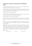## *Sadie Starr's Guide to Starting Over* **by Miranda Luby**

Sadie Starr is obsessed with starting over. A new year, a new diet, a new social media identity. Anything that gives her a chance to be a better version of herself.

So when her dad's job moves the family interstate, Sadie's excited for a fresh start. It's also the perfect excuse to leave behind the mess she's made with her best friend and secret crush, Daniel, whose advances she rejected—for fear of screwing things up.

But at her new school, life gets complicated fast.

She meets glamorous Alexa and her pink-badged girl gang, on a mission to 'support women', and outcast Jack, who the girls say has been stalking fellow student Loz.

But Loz has a different story, one that changes everything.

Sadie's torn. She wants to be popular. She wants to keep Loz's secret. She wants to fix everything. But she'll have to make choices. And the wrong ones could throw her perfect new life into complete chaos.

*Sadie Starr's Guide to Starting Over* is an engaging, funny–serious look at the downsides of aiming too high, the dangers of black-and-white thinking—and the journey to realising imperfections are part of being human.

**Miranda Luby** is an author, freelance journalist and copywriter living on Victoria's Surf Coast. She has won several awards for her short stories, and her journalism features in publications such as *National Geographic*, the BBC and the *New York Post*., *Sadie Starr's Guide to Starting Over* (previously titled *Therefore I Am*) is her debut novel. It was shortlisted for the Text Prize, awarded an Australian Society of Authors Award Mentorship and an ACT Writers Centre HARDCOPY fellowship.

**Rights Held:** World

Young Adult Fiction  $\vert$  August 2022 | Manuscript available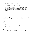# *Dancing Barefoot* **by Alice Boyle**

Winner of the 2021 Text Prize for Young Adult and Children's Writing

*Evie Vanhoutte is a teachers' pet, a basketball star and the most beautiful girl in the year level. Evie Vanhoutte is tall, has long dark hair, a great smile, and for the past four years, Evie Vanhoutte has been the object of my most ardent, heartfelt, and passionate affection. Unrequited affection, of course.*

Patch is out of place at Mountford College: she wears the wrong clothes, she's not sporty or popular, she lives in a small flat above her dad's record shop a world away from the leafy suburb where she goes to school. And she has a secret long-term crush on basketball star Evie Vanhoutte. Evie barely knows Patch exists until an accident involving a bottle of ink and Patch's school uniform sparks a friendship that's equal parts exhilarating, terrifying, and very, very confusing.

As if that weren't enough, Patch is also trying to deal with a jealous school bully, forgetting to be supportive of her transitioning best friend, Edwin, and worrying about how a potential new stepmother could throw everything off course.

*Dancing Barefoot* is a feel-good romance about growing up queer, figuring out your place in the world, staying true to yourself and your friends, finding love, and learning to embrace the obstacles life throws in your path.

**Alice Boyle** is an English teacher and author living in Naarm/Melbourne. She's written for *SBS Voices* and the *Stella Prize*, and her short story '*The Exchange*' was published in the Black Inc. anthology *Growing Up Queer in Australia*. In 2019 she was highly commended for the Wheeler Centre's Next Chapter program, and in 2021 she won the Text Prize for her debut novel *Dancing Barefoot*.

**Rights Held:** World

Young Adult Fiction September 2022 Manuscript available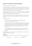## *Unnecessary Drama* **by Nina Kenwood**

Brooke likes order, she likes lists, she likes rules.

The first and only rule of her new sharehouse is 'no unnecessary drama'. Which means no fights, no tension, and absolutely no romance with housemates Penny and Jesse. That's fine by Brooke, because she has plans. This is going to be her year: her first year of university, the year she's moved to Melbourne, and the year she's going to live up to all of her potential.

But things get off to a bad start: university isn't what she thought it would be; she's desperately homesick, chronically anxious and, to add to her problems, Brooke might be developing inconvenient romantic feelings for off-limits housemate Jesse.

*Unnecessary Drama* follows Brooke as she navigates friendship, romance, ex-best friends, exboyfriends, housemates, her own overly anxious tendencies and what it means to find a home away from home.

Praise for Nina Kenwood:

'A sweet, funny and relatable account of the dramas of those grappling with late adolescence.' *Age* on *It Sounded Better in My Head*

'The novel perfectly captures the terror of being in-between, caught both in the liminal space between adolescence and adulthood, and in that befuddling period where a friendship might be turning into something more. A perfect pick for fans of Jenny Han's *To All the Boys I've Loved Before* who are looking for their next quirky romantic heroine.' *Booklist* on *It Sounded Better in My Head*

'I am all-caps OBSESSED with this achingly insightful, utterly charming, beautiful heartpunch of a book. Instant favourite.' Becky Albertalli, bestselling author of *Simon vs. the Homo Sapiens Agenda*

**Nina Kenwood** is a writer who lives in Melbourne. She won the 2018 Text Prize for her debut young adult novel, *It Sounded Better in My Head.*

## **Rights Held:** World

**Option Publishers:** France—Pocket Jeunesse; Germany—Carlsen Verlag; Hungary—Móra; Italy—De Agostini; Spain & Catalan—Planeta.

Young Adult fiction <br>Corober 2022 Manuscript available May 2022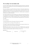# *The Goodbye Year* **by Emily Gale**

It's the start of 2020 and Harper is filled with anticipation about being in the final year of Riverlark Primary. She wants a leadership role, the comfort of her friendship group, and to fly under the radar of Riverlark's mean-boy.

But one by one things go wrong. When Harper's best friends are made school captains they are consumed by their roles, while her own role—library captain—is considered second-rate. Then something major throws life off course: her parents take overseas jobs as nurses in a war zone. Harper moves in with Lolly, a grandmother she barely knows—and her five pets, vast collection of old trinkets and very different expectations.

Just as Harper's getting used to Lolly, the pandemic arrives. She has always been pretty level but is now consumed by worry. Her goodbye year is nothing like she'd hoped it would be. Strange things are happening: she wakes in the night in odd places, fixates on an old army badge that seems to have a mind of its own, and on a visit to the school library during lockdown she's convinced she's seen a ghost.

Who is haunting her?

Can she get through the anxiety of the pandemic without her mum and dad?

And will Harper find a way to be happy with her goodbye year?

*The Goodbye Year* explores all the trickiness and confusion of the end of primary school and a new stage of life that looms with all its uncertainties and possibilities.

**Emily Gale**'s books include *The Other Side of Summer* and its companion novel *I Am Out with Lanterns*, *The Eliza Boom Diaries*, *Steal My Sunshine* and *Girl, Aloud*, as well as her recent middle-grade collaboration with friend and fellow author Nova Weetman, *Elsewhere Girls*.

**Rights Held:** World

Middle Grade Fiction September 2022 Manuscript available May 2022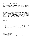# *The Hotel Witch* **by Jessica Miller**

Sibyl loves possibilities, and at the Grand Mirror Hotel everything seems possible. It might even be possible that one day her grandmother will let her open the *Book of Advanced and Dangerous Magic*.

Sibyl is the apprentice hotel witch. Under the watchful care of her grandmother she is memorising spell patterns to keep the hotel staff and guests happy. But the spells don't always go exactly as planned: sometimes the spell to make the cakes rise works a little too well, and eclairs and chocolate cakes float up to the ceiling.

When Sibyl's grandmother goes missing, other things mysteriously disappear from the Grand Mirror Hotel. At first, the harp doesn't sound quite so 'harp-y', then the grandfather clock loses its '*boooong*' and the Golden Nightingale, the world's most wonderful soprano, loses her voice. When Sibyl discovers that something or someone is stealing their shadows, she knows it's up to her to find the right spell to return them before the magic of the Grand Mirror Hotel is lost.

*The Hotel Witch* is a spellbinding tale of determination and love. Its characters sparkle and delight. It's a brilliantly rich magical tale that young readers will fall in love with.

Praise for Jessica Miller:

'By the time I reached the end of the book my heart was racing and I couldn't turn the pages fast enough…a simple, good-old-fashioned scary manor mystery.' *Books+Publishing* on *Elizabeth and Zenobia*

'A truly spellbinding tale…This latest offering from a magnificently talented author is sure to delight any reader who loves getting lost in magical landscapes full of wonder, adventure and enchantment.' Children's Book Council of Australia on *The Republic of Birds*

**Jessica Miller** is a children's writer from Brisbane, currently living in Berlin. She has written for a variety of publications including *Kill Your Darlings* and *Stilts*. Her first novel, *Elizabeth and Zenobia*, was shortlisted for the Text Prize and the Readings Prize. It was also a CBCA Notable Book, as was her second book, *The Republic of Birds*.

**Rights Held:** World (ex. North America) **Other rights:** Inkwell Management

Middle Grade Fiction March 2023 Manuscript available May 2022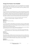## **Young Text Classics: Ivan Southall**

Ivan Southall was the first Australian author to receive the Carnegie Medal, and was awarded the Australian Children's Book Council Book of the Year on three occasions. An icon of Australian children's literature, he wrote over sixty books in his lifetime and has been published in twentythree countries. He died in 2008.

## *Ash Road*

The bestselling *Ash Road* is an action-packed adventure story, so evocative of rural Australia you can taste the eucalyptus. It's hot, dry and sweaty on Ash Road, where Graham, Harry and Wallace are getting their first taste of independence, camping, just the three of them. When they accidentally light a bushfire no one would have guessed how far it would go. All along Ash Road fathers go off to fight the fires and mothers help in the first aid centres. The children of Prescott are left alone, presumed safe, until it's the fire itself that reaches them. These children are forced to face a major crisis with only each other and the two old men left in their care.

'The novel is a chronicle of fire and panic, of intense and remarkable perception, and of almost inexhaustibly vivid descriptive language…unforgettable.' *Wall Street Journal*

**Reading age:** 12+ **Rights Held:** World **Rights Sold:** Russia—Melik-Pashaev Publishing

## *Hills End*

On a fateful day in Hills End, a timber-milling town in the mountains of Victoria, seven children and their teacher set off to explore caves in the nearby mountains said to contain ancient Aboriginal rock art. While they are deep inside the mountain caves a storm of tremendous violence all but sweeps the town away and threatens to leave them stranded on the mountain.

Tackling flooded creeks and washed-out paths and fallen trees, the children make their way back to Hills End injured and exhausted, only to face a new battle to survive in the denuded town.

'The author has the power to get inside his characters, and through them express his faith in human nature in the goodness of man…a solid work, strong in action, mood and discipline.' *New York Times*

**Reading age:** 12+ **Rights Held:** World

## *To the Wild Sky*

When a pilot dies suddenly mid-flight six teenagers, the only passengers on board, face a terrifying situation. Gerald has had some flying lessons, but he has never flown alone, and he has never landed a plane. Lost and afraid, they fly on as the fuel gauge drops and night closes in. Will they find a clear landing place? Could they land in the sea? If they do somehow land safely how will they find their way back to civilisation?

**Reading age:** 12+ **Rights Held:** World **Rights Sold:** Russia—Melik-Pashaev Publishing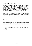## **Young Text Classics: Robin Klein**

Robin Klein was born on 28 February 1936 in Kempsey, New South Wales, into a family of nine children. Leaving school at age 15, Klein worked several jobs before becoming established as a writer, having her first story published at age 16. Klein's books are hugely celebrated, having won the CBCA Children's Book of the Year Award in both the Younger Readers and the Older Readers categories, as well as a Human Rights Award for Literature in 1989 for *Came Back to Show You I Could Fly*. Klein is widely considered one of Australia's most prolific and beloved YA authors.

## *Came Back to Show You I Could Fly*

*Came Back to Show You I Could Fly* is a heartwarming account of an unlikely friendship that shows a very human side of drug addiction. Seymour is bored and lonely, and running from a gang of kids when he opens a backlane gate. And there is Angie. She is older than Seymour, confident, cool and alluring, and she treats him with the affection of an older sister. Seymour is captivated—through Angie he is awakened to the fun and adventure in life. But Angie has a dark side—a secret that threatens to destroy her. And as Seymour begins to understand that all is not well he knows he has to help her.

**Reading age:** 12+ **Rights Held:** World

## *All in the Blue Unclouded Weather*

*All in the Blue Unclouded Weather* begins the story of the Melling sisters, four girls growing up in an Australian country town in the post-war years. Vivienne is the youngest, always the last to wear the hand-me-down clothes—after Grace and Heather and Cathy—and always longing for something new and special. But although life is hard for the Melling family and the sisters have their tiffs, this is a heartwarming and often humorous story of loyalty and affection—under blue unclouded skies.

'Funny, thoughtful, sometimes painfully sad, this is a book that lingers long in the memory.' *Books + Publishing*

**Reading age:** 12+ **Rights Held:** World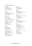## **Text Publishing Agents**

#### **Baltic Region**

Tatjana Zoldnere Andrew Nurnberg Associates PO Box 77, Riga LV 1011, Latvia Phone: +371 6 7506 495 Email: zoldnere@anab.apollo.lv

### **Brazil**

Laura Riff The Riff Agency Avenida Calógeras, no. 6, sala 1007, Centro, Rio de Janeiro RJ, 20030-070, Brazil Phone: +55 21 2287 6299 Email: laura@agenciariff.com.br

### **China and Taiwan**

Gray Tan The Grayhawk Agency 14F, No. 63, Sec 4 Xinyi Road, Taipei 106685 Taiwan Phone: +886 2 2705 9231 Email: grayhawk@grayhawk-agency.com

#### **Czech Republic and Slovak Republic**

Kristin Olson Kristin Olson Literary Agency Klimentská 24, 110 00 Praha 1 Czech Republic Phone +420 222 582 042 Email: kristin.olson@litag.cz

### **France**

Eliane Benisti Eliane Benisti Agency 80 Rue des Saints-Pères 75007 Paris, France Phone: +33 1 42 22 85 33 Email: eliane@elianebenisti.com

### **German Language**

Christian Dittus [adult titles] Antonia Fritz [children's & YA titles] Paul & Peter Fritz AG Seefeldstrasse 303, CH-8008, Zürich, Switzerland Phone: +41 1 44 388 4140 Email: afritz@fritzagency.com Email: cdittus@fritzagency.com

#### **Greece**

Evangelia Avioniti Ersilia Literary Agency Phone: +30 693 8454 332 Email: info@ersilialit.com

#### **Hungary**

Peter Bolza Kátai & Bolza Literary Agents H-1056 Budapest, Szerb u. 17-19 Hungary Phone: +36 1 456 0313 Email: peter@kataibolza.hu

### **Israel**

Beverley Levit The Israeli Association of Book Publishers 29 Carlebach Street Tel Aviv, 67132, Israel Phone: +972 3 5614121 (ext 123) Email: rights1@tbpai.co.il

### **Italy**

Erica Berla Berla & Griffini Rights Agency via Gian Giacomo Mora 7, 20123 Milano, Italy Phone: +39 02 80 50 41 79 Email: berla@bgagency.it

### **Japan**

Maiko Fujinaga Japan Uni Agency, Inc. Tokyodo Jinbacho, no. 2 Building 1-27 Kanda Jinbo-cho Chiyoda-ku, Tokyo 101-0051, Japan Phone: +81 3 3295 0301 Email: maiko.fujinaga@japanuni.co.jp

Hamish Macaskill The English Agency (Japan) Ltd. Sakuragi Bldg. 4F 6-7-3 Minami Aoyama, Minato-ku Tokyo 107-0062, Japan Phone: +81 3 3406 5385 Email: hamish@eaj.co.jp